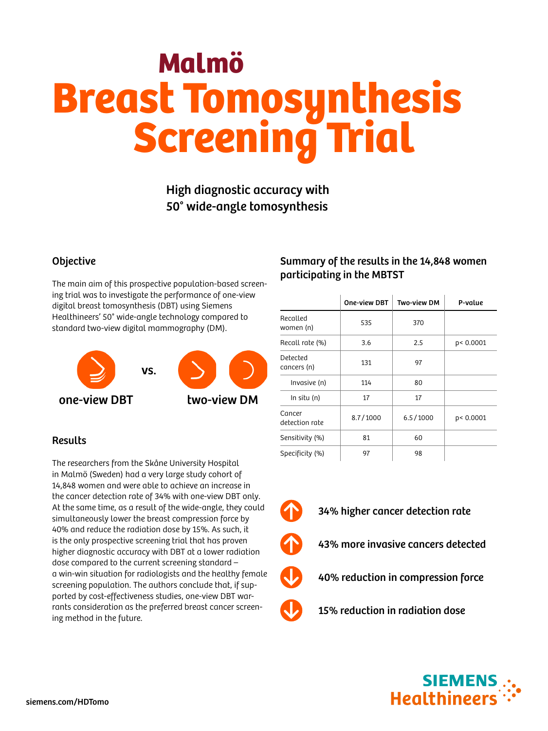# Malmö Breast Tomosynthesis **Screening Trial**

# High diagnostic accuracy with 50° wide-angle tomosynthesis

### **Objective**

The main aim of this prospective population-based screening trial was to investigate the performance of one-view digital breast tomosynthesis (DBT) using Siemens Healthineers' 50° wide-angle technology compared to standard two-view digital mammography (DM).



# **Results**

The researchers from the Skåne University Hospital in Malmö (Sweden) had a very large study cohort of 14,848 women and were able to achieve an increase in the cancer detection rate of 34% with one-view DBT only. At the same time, as a result of the wide-angle, they could simultaneously lower the breast compression force by 40% and reduce the radiation dose by 15%. As such, it is the only prospective screening trial that has proven higher diagnostic accuracy with DBT at a lower radiation dose compared to the current screening standard – a win-win situation for radiologists and the healthy female screening population. The authors conclude that, if supported by cost-effectiveness studies, one-view DBT warrants consideration as the preferred breast cancer screening method in the future.

## Summary of the results in the 14,848 women participating in the MBTST

|                          | One-view DBT | Two-view DM | P-value   |
|--------------------------|--------------|-------------|-----------|
| Recalled<br>women (n)    | 535          | 370         |           |
| Recall rate (%)          | 3.6          | 2.5         | p< 0.0001 |
| Detected<br>cancers (n)  | 131          | 97          |           |
| Invasive (n)             | 114          | 80          |           |
| In situ (n)              | 17           | 17          |           |
| Cancer<br>detection rate | 8.7/1000     | 6.5/1000    | p< 0.0001 |
| Sensitivity (%)          | 81           | 60          |           |
| Specificity (%)          | 97           | 98          |           |

- 
- 34% higher cancer detection rate
- 43% more invasive cancers detected
- 40% reduction in compression force
	- 15% reduction in radiation dose